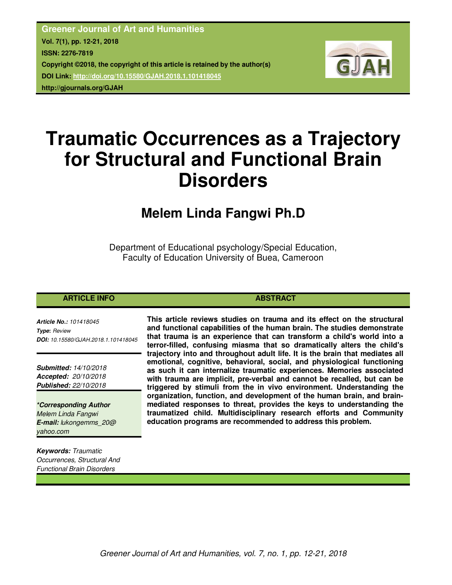**Greener Journal of Art and Humanities Vol. 7(1), pp. 12-21, 2018 ISSN: 2276-7819 Copyright ©2018, the copyright of this article is retained by the author(s) DOI Link: http://doi.org/10.15580/GJAH.2018.1.101418045 http://gjournals.org/GJAH**



# **Traumatic Occurrences as a Trajectory for Structural and Functional Brain Disorders**

## **Melem Linda Fangwi Ph.D**

Department of Educational psychology/Special Education, Faculty of Education University of Buea, Cameroon

### **ARTICLE INFO ABSTRACT**

*Article No.: 101418045 Type***:** *Review DOI: 10.15580/GJAH.2018.1.101418045*

*Submitted: 14/10/2018 Accepted: 20/10/2018 Published: 22/10/2018*

*\*Corresponding Author Melem Linda Fangwi E-mail: lukongemms\_20@ yahoo.com*

*Keywords: Traumatic Occurrences, Structural And Functional Brain Disorders*

**This article reviews studies on trauma and its effect on the structural and functional capabilities of the human brain. The studies demonstrate that trauma is an experience that can transform a child's world into a terror-filled, confusing miasma that so dramatically alters the child's trajectory into and throughout adult life. It is the brain that mediates all emotional, cognitive, behavioral, social, and physiological functioning as such it can internalize traumatic experiences. Memories associated with trauma are implicit, pre-verbal and cannot be recalled, but can be triggered by stimuli from the in vivo environment. Understanding the organization, function, and development of the human brain, and brainmediated responses to threat, provides the keys to understanding the traumatized child. Multidisciplinary research efforts and Community education programs are recommended to address this problem.**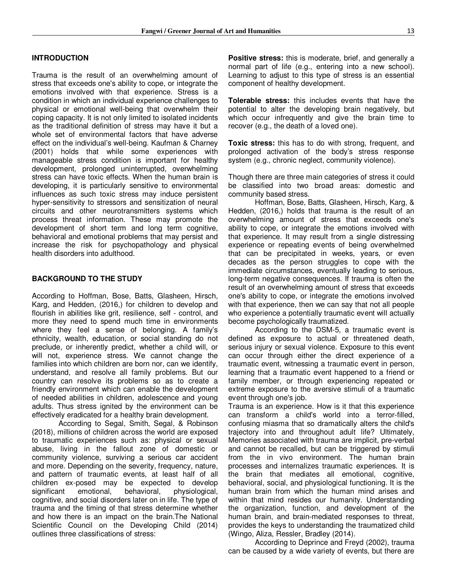### **INTRODUCTION**

Trauma is the result of an overwhelming amount of stress that exceeds one's ability to cope, or integrate the emotions involved with that experience. Stress is a condition in which an individual experience challenges to physical or emotional well-being that overwhelm their coping capacity. It is not only limited to isolated incidents as the traditional definition of stress may have it but a whole set of environmental factors that have adverse effect on the individual's well-being. Kaufman & Charney (2001) holds that while some experiences with manageable stress condition is important for healthy development, prolonged uninterrupted, overwhelming stress can have toxic effects. When the human brain is developing, it is particularly sensitive to environmental influences as such toxic stress may induce persistent hyper-sensitivity to stressors and sensitization of neural circuits and other neurotransmitters systems which process threat information. These may promote the development of short term and long term cognitive, behavioral and emotional problems that may persist and increase the risk for psychopathology and physical health disorders into adulthood.

#### **BACKGROUND TO THE STUDY**

According to Hoffman, Bose, Batts, Glasheen, Hirsch, Karg, and Hedden, (2016,) for children to develop and flourish in abilities like grit, resilience, self - control, and more they need to spend much time in environments where they feel a sense of belonging. A family's ethnicity, wealth, education, or social standing do not preclude, or inherently predict, whether a child will, or will not, experience stress. We cannot change the families into which children are born nor, can we identify, understand, and resolve all family problems. But our country can resolve its problems so as to create a friendly environment which can enable the development of needed abilities in children, adolescence and young adults. Thus stress ignited by the environment can be effectively eradicated for a healthy brain development.

According to Segal, Smith, Segal, & Robinson (2018), millions of children across the world are exposed to traumatic experiences such as: physical or sexual abuse, living in the fallout zone of domestic or community violence, surviving a serious car accident and more. Depending on the severity, frequency, nature, and pattern of traumatic events, at least half of all children ex-posed may be expected to develop<br>significant emotional, behavioral, physiological, significant emotional, behavioral, physiological, cognitive, and social disorders later on in life. The type of trauma and the timing of that stress determine whether and how there is an impact on the brain.The National Scientific Council on the Developing Child (2014) outlines three classifications of stress:

**Positive stress:** this is moderate, brief, and generally a normal part of life (e.g., entering into a new school). Learning to adjust to this type of stress is an essential component of healthy development.

**Tolerable stress:** this includes events that have the potential to alter the developing brain negatively, but which occur infrequently and give the brain time to recover (e.g., the death of a loved one).

**Toxic stress:** this has to do with strong, frequent, and prolonged activation of the body's stress response system (e.g., chronic neglect, community violence).

Though there are three main categories of stress it could be classified into two broad areas: domestic and community based stress.

Hoffman, Bose, Batts, Glasheen, Hirsch, Karg, & Hedden, (2016,) holds that trauma is the result of an overwhelming amount of stress that exceeds one's ability to cope, or integrate the emotions involved with that experience. It may result from a single distressing experience or repeating events of being overwhelmed that can be precipitated in weeks, years, or even decades as the person struggles to cope with the immediate circumstances, eventually leading to serious, long-term negative consequences. If trauma is often the result of an overwhelming amount of stress that exceeds one's ability to cope, or integrate the emotions involved with that experience, then we can say that not all people who experience a potentially traumatic event will actually become psychologically traumatized.

According to the DSM-5, a traumatic event is defined as exposure to actual or threatened death, serious injury or sexual violence. Exposure to this event can occur through either the direct experience of a traumatic event, witnessing a traumatic event in person, learning that a traumatic event happened to a friend or family member, or through experiencing repeated or extreme exposure to the aversive stimuli of a traumatic event through one's job.

Trauma is an experience. How is it that this experience can transform a child's world into a terror-filled, confusing miasma that so dramatically alters the child's trajectory into and throughout adult life? Ultimately, Memories associated with trauma are implicit, pre-verbal and cannot be recalled, but can be triggered by stimuli from the in vivo environment. The human brain processes and internalizes traumatic experiences. It is the brain that mediates all emotional, cognitive, behavioral, social, and physiological functioning. It is the human brain from which the human mind arises and within that mind resides our humanity. Understanding the organization, function, and development of the human brain, and brain-mediated responses to threat, provides the keys to understanding the traumatized child (Wingo, Aliza, Ressler, Bradley (2014).

According to Deprince and Freyd (2002), trauma can be caused by a wide variety of events, but there are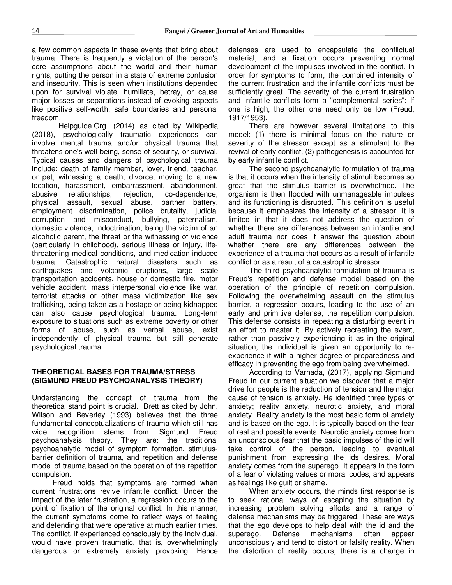a few common aspects in these events that bring about trauma. There is frequently a violation of the person's core assumptions about the world and their human rights, putting the person in a state of extreme confusion and insecurity. This is seen when institutions depended upon for survival violate, humiliate, betray, or cause major losses or separations instead of evoking aspects like positive self-worth, safe boundaries and personal freedom.

Helpguide.Org. (2014) as cited by Wikipedia (2018), psychologically traumatic experiences can involve mental trauma and/or physical trauma that threatens one's well-being, sense of security, or survival. Typical causes and dangers of psychological trauma include: death of family member, lover, friend, teacher, or pet, witnessing a death, divorce, moving to a new location, harassment, embarrassment, abandonment, abusive relationships, rejection, co-dependence, physical assault, sexual abuse, partner battery, employment discrimination, police brutality, judicial corruption and misconduct, bullying, paternalism, domestic violence, indoctrination, being the victim of an alcoholic parent, the threat or the witnessing of violence (particularly in childhood), serious illness or injury, lifethreatening medical conditions, and medication-induced trauma. Catastrophic natural disasters such as earthquakes and volcanic eruptions, large scale transportation accidents, house or domestic fire, motor vehicle accident, mass interpersonal violence like war, terrorist attacks or other mass victimization like sex trafficking, being taken as a hostage or being kidnapped can also cause psychological trauma. Long-term exposure to situations such as extreme poverty or other forms of abuse, such as verbal abuse, exist independently of physical trauma but still generate psychological trauma.

#### **THEORETICAL BASES FOR TRAUMA/STRESS (SIGMUND FREUD PSYCHOANALYSIS THEORY)**

Understanding the concept of trauma from the theoretical stand point is crucial. Brett as cited by John, Wilson and Beverley (1993) believes that the three fundamental conceptualizations of trauma which still has wide recognition stems from psychoanalysis theory. They are: the traditional psychoanalytic model of symptom formation, stimulusbarrier definition of trauma, and repetition and defense model of trauma based on the operation of the repetition compulsion.

Freud holds that symptoms are formed when current frustrations revive infantile conflict. Under the impact of the later frustration, a regression occurs to the point of fixation of the original conflict. In this manner, the current symptoms come to reflect ways of feeling and defending that were operative at much earlier times. The conflict, if experienced consciously by the individual, would have proven traumatic, that is, overwhelmingly dangerous or extremely anxiety provoking. Hence defenses are used to encapsulate the conflictual material, and a fixation occurs preventing normal development of the impulses involved in the conflict. In order for symptoms to form, the combined intensity of the current frustration and the infantile conflicts must be sufficiently great. The severity of the current frustration and infantile conflicts form a "complemental series": If one is high, the other one need only be low (Freud, 1917/1953).

There are however several limitations to this model: (1) there is minimal focus on the nature or severity of the stressor except as a stimulant to the revival of early conflict, (2) pathogenesis is accounted for by early infantile conflict.

The second psychoanalytic formulation of trauma is that it occurs when the intensity of stimuli becomes so great that the stimulus barrier is overwhelmed. The organism is then flooded with unmanageable impulses and its functioning is disrupted. This definition is useful because it emphasizes the intensity of a stressor. It is limited in that it does not address the question of whether there are differences between an infantile and adult trauma nor does it answer the question about whether there are any differences between the experience of a trauma that occurs as a result of infantile conflict or as a result of a catastrophic stressor.

The third psychoanalytic formulation of trauma is Freud's repetition and defense model based on the operation of the principle of repetition compulsion. Following the overwhelming assault on the stimulus barrier, a regression occurs, leading to the use of an early and primitive defense, the repetition compulsion. This defense consists in repeating a disturbing event in an effort to master it. By actively recreating the event, rather than passively experiencing it as in the original situation, the individual is given an opportunity to reexperience it with a higher degree of preparedness and efficacy in preventing the ego from being overwhelmed.

According to Varnada, (2017), applying Sigmund Freud in our current situation we discover that a major drive for people is the reduction of tension and the major cause of tension is anxiety. He identified three types of anxiety; reality anxiety, neurotic anxiety, and moral anxiety. Reality anxiety is the most basic form of anxiety and is based on the ego. It is typically based on the fear of real and possible events. Neurotic anxiety comes from an unconscious fear that the basic impulses of the id will take control of the person, leading to eventual punishment from expressing the ids desires. Moral anxiety comes from the superego. It appears in the form of a fear of violating values or moral codes, and appears as feelings like guilt or shame.

When anxiety occurs, the minds first response is to seek rational ways of escaping the situation by increasing problem solving efforts and a range of defense mechanisms may be triggered. These are ways that the ego develops to help deal with the id and the superego. Defense mechanisms often appear unconsciously and tend to distort or falsify reality. When the distortion of reality occurs, there is a change in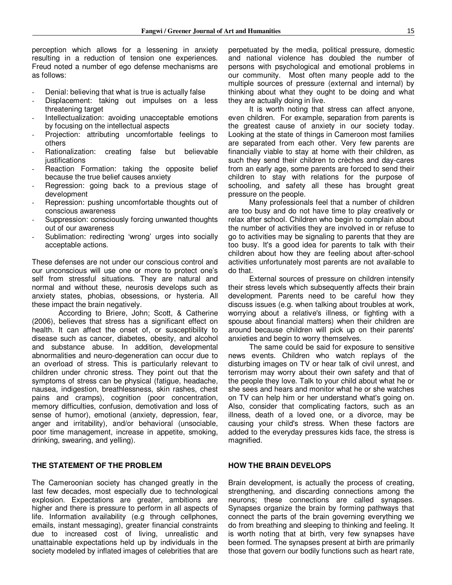perception which allows for a lessening in anxiety resulting in a reduction of tension one experiences. Freud noted a number of ego defense mechanisms are as follows:

- Denial: believing that what is true is actually false
- Displacement: taking out impulses on a less threatening target
- Intellectualization: avoiding unacceptable emotions by focusing on the intellectual aspects
- Projection: attributing uncomfortable feelings to others
- Rationalization: creating false but believable justifications
- Reaction Formation: taking the opposite belief because the true belief causes anxiety
- Regression: going back to a previous stage of development
- Repression: pushing uncomfortable thoughts out of conscious awareness
- Suppression: consciously forcing unwanted thoughts out of our awareness
- Sublimation: redirecting 'wrong' urges into socially acceptable actions.

These defenses are not under our conscious control and our unconscious will use one or more to protect one's self from stressful situations. They are natural and normal and without these, neurosis develops such as anxiety states, phobias, obsessions, or hysteria. All these impact the brain negatively.

According to Briere, John; Scott, & Catherine (2006), believes that stress has a significant effect on health. It can affect the onset of, or susceptibility to disease such as cancer, diabetes, obesity, and alcohol and substance abuse. In addition, developmental abnormalities and neuro-degeneration can occur due to an overload of stress. This is particularly relevant to children under chronic stress. They point out that the symptoms of stress can be physical (fatigue, headache, nausea, indigestion, breathlessness, skin rashes, chest pains and cramps), cognition (poor concentration, memory difficulties, confusion, demotivation and loss of sense of humor), emotional (anxiety, depression, fear, anger and irritability), and/or behavioral (unsociable, poor time management, increase in appetite, smoking, drinking, swearing, and yelling).

#### **THE STATEMENT OF THE PROBLEM**

The Cameroonian society has changed greatly in the last few decades, most especially due to technological explosion. Expectations are greater, ambitions are higher and there is pressure to perform in all aspects of life. Information availability (e.g through cellphones, emails, instant messaging), greater financial constraints due to increased cost of living, unrealistic and unattainable expectations held up by individuals in the society modeled by inflated images of celebrities that are perpetuated by the media, political pressure, domestic and national violence has doubled the number of persons with psychological and emotional problems in our community. Most often many people add to the multiple sources of pressure (external and internal) by thinking about what they ought to be doing and what they are actually doing in live.

It is worth noting that stress can affect anyone, even children. For example, separation from parents is the greatest cause of anxiety in our society today. Looking at the state of things in Cameroon most families are separated from each other. Very few parents are financially viable to stay at home with their children, as such they send their children to crèches and day-cares from an early age, some parents are forced to send their children to stay with relations for the purpose of schooling, and safety all these has brought great pressure on the people.

Many professionals feel that a number of children are too busy and do not have time to play creatively or relax after school. Children who begin to complain about the number of activities they are involved in or refuse to go to activities may be signaling to parents that they are too busy. It's a good idea for parents to talk with their children about how they are feeling about after-school activities unfortunately most parents are not available to do that.

External sources of pressure on children intensify their stress levels which subsequently affects their brain development. Parents need to be careful how they discuss issues (e.g. when talking about troubles at work, worrying about a relative's illness, or fighting with a spouse about financial matters) when their children are around because children will pick up on their parents' anxieties and begin to worry themselves.

The same could be said for exposure to sensitive news events. Children who watch replays of the disturbing images on TV or hear talk of civil unrest, and terrorism may worry about their own safety and that of the people they love. Talk to your child about what he or she sees and hears and monitor what he or she watches on TV can help him or her understand what's going on. Also, consider that complicating factors, such as an illness, death of a loved one, or a divorce, may be causing your child's stress. When these factors are added to the everyday pressures kids face, the stress is magnified.

#### **HOW THE BRAIN DEVELOPS**

Brain development, is actually the process of creating, strengthening, and discarding connections among the neurons; these connections are called synapses. Synapses organize the brain by forming pathways that connect the parts of the brain governing everything we do from breathing and sleeping to thinking and feeling. It is worth noting that at birth, very few synapses have been formed. The synapses present at birth are primarily those that govern our bodily functions such as heart rate,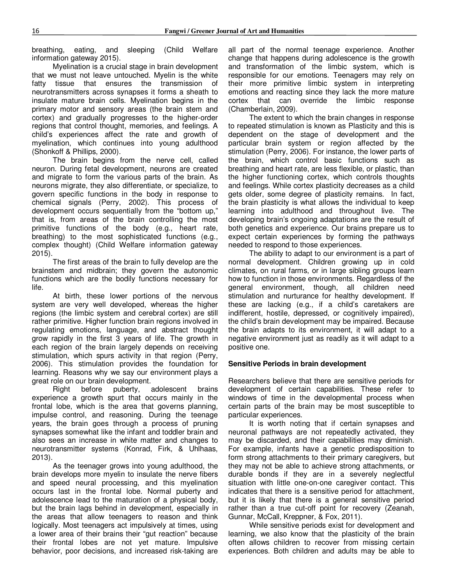breathing, eating, and sleeping (Child Welfare information gateway 2015).

Myelination is a crucial stage in brain development that we must not leave untouched. Myelin is the white fatty tissue that ensures the transmission of neurotransmitters across synapses it forms a sheath to insulate mature brain cells. Myelination begins in the primary motor and sensory areas (the brain stem and cortex) and gradually progresses to the higher-order regions that control thought, memories, and feelings. A child's experiences affect the rate and growth of myelination, which continues into young adulthood (Shonkoff & Phillips, 2000).

The brain begins from the nerve cell, called neuron. During fetal development, neurons are created and migrate to form the various parts of the brain. As neurons migrate, they also differentiate, or specialize, to govern specific functions in the body in response to chemical signals (Perry, 2002). This process of development occurs sequentially from the "bottom up," that is, from areas of the brain controlling the most primitive functions of the body (e.g., heart rate, breathing) to the most sophisticated functions (e.g., complex thought) (Child Welfare information gateway 2015).

The first areas of the brain to fully develop are the brainstem and midbrain; they govern the autonomic functions which are the bodily functions necessary for life.

At birth, these lower portions of the nervous system are very well developed, whereas the higher regions (the limbic system and cerebral cortex) are still rather primitive. Higher function brain regions involved in regulating emotions, language, and abstract thought grow rapidly in the first 3 years of life. The growth in each region of the brain largely depends on receiving stimulation, which spurs activity in that region (Perry, 2006). This stimulation provides the foundation for learning. Reasons why we say our environment plays a great role on our brain development.

Right before puberty, adolescent brains experience a growth spurt that occurs mainly in the frontal lobe, which is the area that governs planning, impulse control, and reasoning. During the teenage years, the brain goes through a process of pruning synapses somewhat like the infant and toddler brain and also sees an increase in white matter and changes to neurotransmitter systems (Konrad, Firk, & Uhlhaas, 2013).

As the teenager grows into young adulthood, the brain develops more myelin to insulate the nerve fibers and speed neural processing, and this myelination occurs last in the frontal lobe. Normal puberty and adolescence lead to the maturation of a physical body, but the brain lags behind in development, especially in the areas that allow teenagers to reason and think logically. Most teenagers act impulsively at times, using a lower area of their brains their "gut reaction" because their frontal lobes are not yet mature. Impulsive behavior, poor decisions, and increased risk-taking are

all part of the normal teenage experience. Another change that happens during adolescence is the growth and transformation of the limbic system, which is responsible for our emotions. Teenagers may rely on their more primitive limbic system in interpreting emotions and reacting since they lack the more mature cortex that can override the limbic response (Chamberlain, 2009).

The extent to which the brain changes in response to repeated stimulation is known as Plasticity and this is dependent on the stage of development and the particular brain system or region affected by the stimulation (Perry, 2006). For instance, the lower parts of the brain, which control basic functions such as breathing and heart rate, are less flexible, or plastic, than the higher functioning cortex, which controls thoughts and feelings. While cortex plasticity decreases as a child gets older, some degree of plasticity remains. In fact, the brain plasticity is what allows the individual to keep learning into adulthood and throughout live. The developing brain's ongoing adaptations are the result of both genetics and experience. Our brains prepare us to expect certain experiences by forming the pathways needed to respond to those experiences.

The ability to adapt to our environment is a part of normal development. Children growing up in cold climates, on rural farms, or in large sibling groups learn how to function in those environments. Regardless of the general environment, though, all children need stimulation and nurturance for healthy development. If these are lacking (e.g., if a child's caretakers are indifferent, hostile, depressed, or cognitively impaired), the child's brain development may be impaired. Because the brain adapts to its environment, it will adapt to a negative environment just as readily as it will adapt to a positive one.

#### **Sensitive Periods in brain development**

Researchers believe that there are sensitive periods for development of certain capabilities. These refer to windows of time in the developmental process when certain parts of the brain may be most susceptible to particular experiences.

It is worth noting that if certain synapses and neuronal pathways are not repeatedly activated, they may be discarded, and their capabilities may diminish. For example, infants have a genetic predisposition to form strong attachments to their primary caregivers, but they may not be able to achieve strong attachments, or durable bonds if they are in a severely neglectful situation with little one-on-one caregiver contact. This indicates that there is a sensitive period for attachment, but it is likely that there is a general sensitive period rather than a true cut-off point for recovery (Zeanah, Gunnar, McCall, Kreppner, & Fox, 2011).

While sensitive periods exist for development and learning, we also know that the plasticity of the brain often allows children to recover from missing certain experiences. Both children and adults may be able to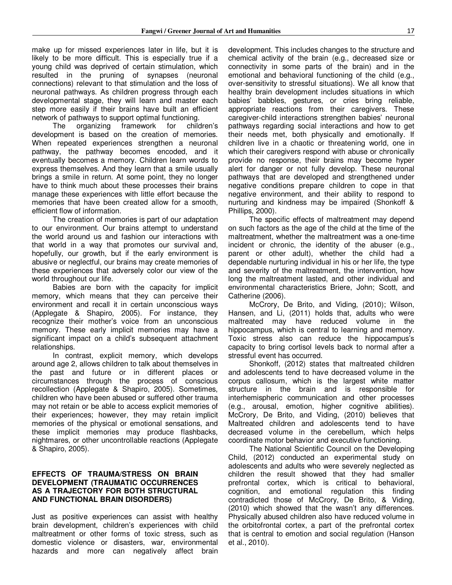make up for missed experiences later in life, but it is likely to be more difficult. This is especially true if a young child was deprived of certain stimulation, which resulted in the pruning of synapses (neuronal connections) relevant to that stimulation and the loss of neuronal pathways. As children progress through each developmental stage, they will learn and master each step more easily if their brains have built an efficient network of pathways to support optimal functioning.<br>The organizing framework for children's

The organizing framework for development is based on the creation of memories. When repeated experiences strengthen a neuronal pathway, the pathway becomes encoded, and it eventually becomes a memory. Children learn words to express themselves. And they learn that a smile usually brings a smile in return. At some point, they no longer have to think much about these processes their brains manage these experiences with little effort because the memories that have been created allow for a smooth, efficient flow of information.

The creation of memories is part of our adaptation to our environment. Our brains attempt to understand the world around us and fashion our interactions with that world in a way that promotes our survival and, hopefully, our growth, but if the early environment is abusive or neglectful, our brains may create memories of these experiences that adversely color our view of the world throughout our life.

Babies are born with the capacity for implicit memory, which means that they can perceive their environment and recall it in certain unconscious ways (Applegate & Shapiro, 2005). For instance, they recognize their mother's voice from an unconscious memory. These early implicit memories may have a significant impact on a child's subsequent attachment relationships.

In contrast, explicit memory, which develops around age 2, allows children to talk about themselves in the past and future or in different places or circumstances through the process of conscious recollection (Applegate & Shapiro, 2005). Sometimes, children who have been abused or suffered other trauma may not retain or be able to access explicit memories of their experiences; however, they may retain implicit memories of the physical or emotional sensations, and these implicit memories may produce flashbacks, nightmares, or other uncontrollable reactions (Applegate & Shapiro, 2005).

#### **EFFECTS OF TRAUMA/STRESS ON BRAIN DEVELOPMENT (TRAUMATIC OCCURRENCES AS A TRAJECTORY FOR BOTH STRUCTURAL AND FUNCTIONAL BRAIN DISORDERS)**

Just as positive experiences can assist with healthy brain development, children's experiences with child maltreatment or other forms of toxic stress, such as domestic violence or disasters, war, environmental hazards and more can negatively affect brain

development. This includes changes to the structure and chemical activity of the brain (e.g., decreased size or connectivity in some parts of the brain) and in the emotional and behavioral functioning of the child (e.g., over-sensitivity to stressful situations). We all know that healthy brain development includes situations in which babies' babbles, gestures, or cries bring reliable, appropriate reactions from their caregivers. These caregiver-child interactions strengthen babies' neuronal pathways regarding social interactions and how to get their needs met, both physically and emotionally. If children live in a chaotic or threatening world, one in which their caregivers respond with abuse or chronically provide no response, their brains may become hyper alert for danger or not fully develop. These neuronal pathways that are developed and strengthened under negative conditions prepare children to cope in that negative environment, and their ability to respond to nurturing and kindness may be impaired (Shonkoff & Phillips, 2000).

The specific effects of maltreatment may depend on such factors as the age of the child at the time of the maltreatment, whether the maltreatment was a one-time incident or chronic, the identity of the abuser (e.g., parent or other adult), whether the child had a dependable nurturing individual in his or her life, the type and severity of the maltreatment, the intervention, how long the maltreatment lasted, and other individual and environmental characteristics Briere, John; Scott, and Catherine (2006).

McCrory, De Brito, and Viding, (2010); Wilson, Hansen, and Li, (2011) holds that, adults who were maltreated may have reduced volume in the hippocampus, which is central to learning and memory. Toxic stress also can reduce the hippocampus's capacity to bring cortisol levels back to normal after a stressful event has occurred.

Shonkoff, (2012) states that maltreated children and adolescents tend to have decreased volume in the corpus callosum, which is the largest white matter structure in the brain and is responsible for interhemispheric communication and other processes (e.g., arousal, emotion, higher cognitive abilities). McCrory, De Brito, and Viding, (2010) believes that Maltreated children and adolescents tend to have decreased volume in the cerebellum, which helps coordinate motor behavior and executive functioning.

The National Scientific Council on the Developing Child, (2012) conducted an experimental study on adolescents and adults who were severely neglected as children the result showed that they had smaller prefrontal cortex, which is critical to behavioral, cognition, and emotional regulation this finding contradicted those of McCrory, De Brito, & Viding, (2010) which showed that the wasn't any differences. Physically abused children also have reduced volume in the orbitofrontal cortex, a part of the prefrontal cortex that is central to emotion and social regulation (Hanson et al., 2010).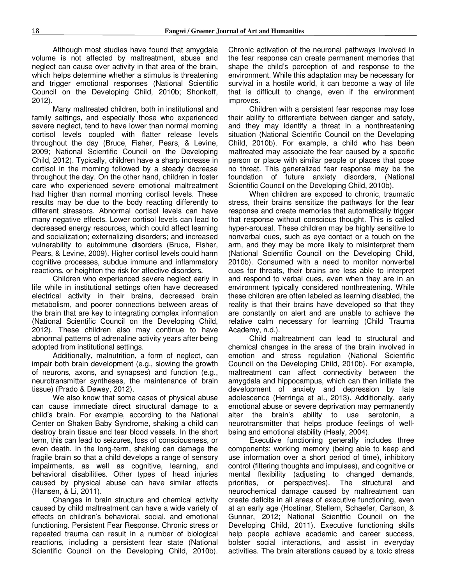Although most studies have found that amygdala volume is not affected by maltreatment, abuse and neglect can cause over activity in that area of the brain, which helps determine whether a stimulus is threatening and trigger emotional responses (National Scientific Council on the Developing Child, 2010b; Shonkoff, 2012).

Many maltreated children, both in institutional and family settings, and especially those who experienced severe neglect, tend to have lower than normal morning cortisol levels coupled with flatter release levels throughout the day (Bruce, Fisher, Pears, & Levine, 2009; National Scientific Council on the Developing Child, 2012). Typically, children have a sharp increase in cortisol in the morning followed by a steady decrease throughout the day. On the other hand, children in foster care who experienced severe emotional maltreatment had higher than normal morning cortisol levels. These results may be due to the body reacting differently to different stressors. Abnormal cortisol levels can have many negative effects. Lower cortisol levels can lead to decreased energy resources, which could affect learning and socialization; externalizing disorders; and increased vulnerability to autoimmune disorders (Bruce, Fisher, Pears, & Levine, 2009). Higher cortisol levels could harm cognitive processes, subdue immune and inflammatory reactions, or heighten the risk for affective disorders.

Children who experienced severe neglect early in life while in institutional settings often have decreased electrical activity in their brains, decreased brain metabolism, and poorer connections between areas of the brain that are key to integrating complex information (National Scientific Council on the Developing Child, 2012). These children also may continue to have abnormal patterns of adrenaline activity years after being adopted from institutional settings.

Additionally, malnutrition, a form of neglect, can impair both brain development (e.g., slowing the growth of neurons, axons, and synapses) and function (e.g., neurotransmitter syntheses, the maintenance of brain tissue) (Prado & Dewey, 2012).

We also know that some cases of physical abuse can cause immediate direct structural damage to a child's brain. For example, according to the National Center on Shaken Baby Syndrome, shaking a child can destroy brain tissue and tear blood vessels. In the short term, this can lead to seizures, loss of consciousness, or even death. In the long-term, shaking can damage the fragile brain so that a child develops a range of sensory impairments, as well as cognitive, learning, and behavioral disabilities. Other types of head injuries caused by physical abuse can have similar effects (Hansen, & Li, 2011).

Changes in brain structure and chemical activity caused by child maltreatment can have a wide variety of effects on children's behavioral, social, and emotional functioning. Persistent Fear Response. Chronic stress or repeated trauma can result in a number of biological reactions, including a persistent fear state (National Scientific Council on the Developing Child, 2010b).

Chronic activation of the neuronal pathways involved in the fear response can create permanent memories that shape the child's perception of and response to the environment. While this adaptation may be necessary for survival in a hostile world, it can become a way of life that is difficult to change, even if the environment improves.

Children with a persistent fear response may lose their ability to differentiate between danger and safety, and they may identify a threat in a nonthreatening situation (National Scientific Council on the Developing Child, 2010b). For example, a child who has been maltreated may associate the fear caused by a specific person or place with similar people or places that pose no threat. This generalized fear response may be the foundation of future anxiety disorders, (National Scientific Council on the Developing Child, 2010b).

When children are exposed to chronic, traumatic stress, their brains sensitize the pathways for the fear response and create memories that automatically trigger that response without conscious thought. This is called hyper-arousal. These children may be highly sensitive to nonverbal cues, such as eye contact or a touch on the arm, and they may be more likely to misinterpret them (National Scientific Council on the Developing Child, 2010b). Consumed with a need to monitor nonverbal cues for threats, their brains are less able to interpret and respond to verbal cues, even when they are in an environment typically considered nonthreatening. While these children are often labeled as learning disabled, the reality is that their brains have developed so that they are constantly on alert and are unable to achieve the relative calm necessary for learning (Child Trauma Academy, n.d.).

Child maltreatment can lead to structural and chemical changes in the areas of the brain involved in emotion and stress regulation (National Scientific Council on the Developing Child, 2010b). For example, maltreatment can affect connectivity between the amygdala and hippocampus, which can then initiate the development of anxiety and depression by late adolescence (Herringa et al., 2013). Additionally, early emotional abuse or severe deprivation may permanently alter the brain's ability to use serotonin, a neurotransmitter that helps produce feelings of wellbeing and emotional stability (Healy, 2004).

Executive functioning generally includes three components: working memory (being able to keep and use information over a short period of time), inhibitory control (filtering thoughts and impulses), and cognitive or mental flexibility (adjusting to changed demands, priorities, or perspectives). The structural and neurochemical damage caused by maltreatment can create deficits in all areas of executive functioning, even at an early age (Hostinar, Stellern, Schaefer, Carlson, & Gunnar, 2012; National Scientific Council on the Developing Child, 2011). Executive functioning skills help people achieve academic and career success, bolster social interactions, and assist in everyday activities. The brain alterations caused by a toxic stress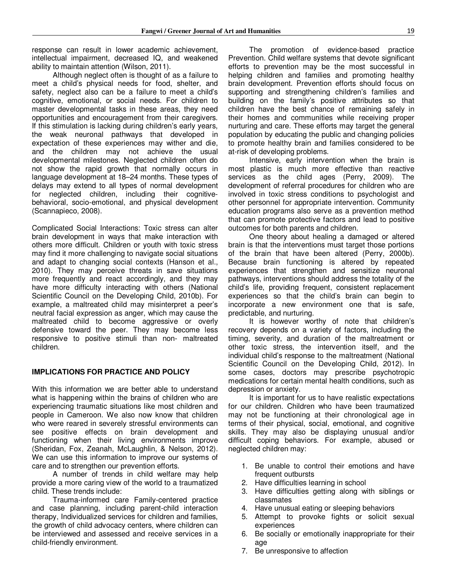response can result in lower academic achievement, intellectual impairment, decreased IQ, and weakened ability to maintain attention (Wilson, 2011).

Although neglect often is thought of as a failure to meet a child's physical needs for food, shelter, and safety, neglect also can be a failure to meet a child's cognitive, emotional, or social needs. For children to master developmental tasks in these areas, they need opportunities and encouragement from their caregivers. If this stimulation is lacking during children's early years, the weak neuronal pathways that developed in expectation of these experiences may wither and die, and the children may not achieve the usual developmental milestones. Neglected children often do not show the rapid growth that normally occurs in language development at 18–24 months. These types of delays may extend to all types of normal development for neglected children, including their cognitivebehavioral, socio-emotional, and physical development (Scannapieco, 2008).

Complicated Social Interactions: Toxic stress can alter brain development in ways that make interaction with others more difficult. Children or youth with toxic stress may find it more challenging to navigate social situations and adapt to changing social contexts (Hanson et al., 2010). They may perceive threats in save situations more frequently and react accordingly, and they may have more difficulty interacting with others (National Scientific Council on the Developing Child, 2010b). For example, a maltreated child may misinterpret a peer's neutral facial expression as anger, which may cause the maltreated child to become aggressive or overly defensive toward the peer. They may become less responsive to positive stimuli than non- maltreated children.

#### **IMPLICATIONS FOR PRACTICE AND POLICY**

With this information we are better able to understand what is happening within the brains of children who are experiencing traumatic situations like most children and people in Cameroon. We also now know that children who were reared in severely stressful environments can see positive effects on brain development and functioning when their living environments improve (Sheridan, Fox, Zeanah, McLaughlin, & Nelson, 2012). We can use this information to improve our systems of care and to strengthen our prevention efforts.

A number of trends in child welfare may help provide a more caring view of the world to a traumatized child. These trends include:

Trauma-informed care Family-centered practice and case planning, including parent-child interaction therapy, Individualized services for children and families, the growth of child advocacy centers, where children can be interviewed and assessed and receive services in a child-friendly environment.

The promotion of evidence-based practice Prevention. Child welfare systems that devote significant efforts to prevention may be the most successful in helping children and families and promoting healthy brain development. Prevention efforts should focus on supporting and strengthening children's families and building on the family's positive attributes so that children have the best chance of remaining safely in their homes and communities while receiving proper nurturing and care. These efforts may target the general population by educating the public and changing policies to promote healthy brain and families considered to be at-risk of developing problems.

Intensive, early intervention when the brain is most plastic is much more effective than reactive services as the child ages (Perry, 2009). The development of referral procedures for children who are involved in toxic stress conditions to psychologist and other personnel for appropriate intervention. Community education programs also serve as a prevention method that can promote protective factors and lead to positive outcomes for both parents and children.

One theory about healing a damaged or altered brain is that the interventions must target those portions of the brain that have been altered (Perry, 2000b). Because brain functioning is altered by repeated experiences that strengthen and sensitize neuronal pathways, interventions should address the totality of the child's life, providing frequent, consistent replacement experiences so that the child's brain can begin to incorporate a new environment one that is safe, predictable, and nurturing.

It is however worthy of note that children's recovery depends on a variety of factors, including the timing, severity, and duration of the maltreatment or other toxic stress, the intervention itself, and the individual child's response to the maltreatment (National Scientific Council on the Developing Child, 2012). In some cases, doctors may prescribe psychotropic medications for certain mental health conditions, such as depression or anxiety.

It is important for us to have realistic expectations for our children. Children who have been traumatized may not be functioning at their chronological age in terms of their physical, social, emotional, and cognitive skills. They may also be displaying unusual and/or difficult coping behaviors. For example, abused or neglected children may:

- 1. Be unable to control their emotions and have frequent outbursts
- 2. Have difficulties learning in school
- 3. Have difficulties getting along with siblings or classmates
- 4. Have unusual eating or sleeping behaviors
- 5. Attempt to provoke fights or solicit sexual experiences
- 6. Be socially or emotionally inappropriate for their age
- 7. Be unresponsive to affection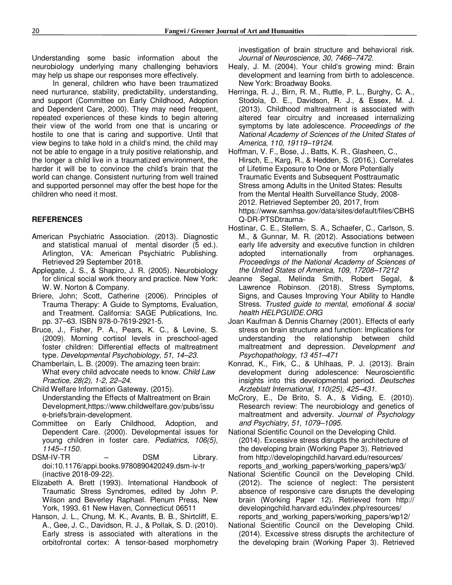Understanding some basic information about the neurobiology underlying many challenging behaviors may help us shape our responses more effectively.

In general, children who have been traumatized need nurturance, stability, predictability, understanding, and support (Committee on Early Childhood, Adoption and Dependent Care, 2000). They may need frequent, repeated experiences of these kinds to begin altering their view of the world from one that is uncaring or hostile to one that is caring and supportive. Until that view begins to take hold in a child's mind, the child may not be able to engage in a truly positive relationship, and the longer a child live in a traumatized environment, the harder it will be to convince the child's brain that the world can change. Consistent nurturing from well trained and supported personnel may offer the best hope for the children who need it most.

### **REFERENCES**

- American Psychiatric Association. (2013). Diagnostic and statistical manual of mental disorder (5 ed.). Arlington, VA: American Psychiatric Publishing. Retrieved 29 September 2018.
- Applegate, J. S., & Shapiro, J. R. (2005). Neurobiology for clinical social work theory and practice. New York: W. W. Norton & Company.
- Briere, John; Scott, Catherine (2006). Principles of Trauma Therapy: A Guide to Symptoms, Evaluation, and Treatment. California: SAGE Publications, Inc. pp. 37–63. ISBN 978-0-7619-2921-5.
- Bruce, J., Fisher, P. A., Pears, K. C., & Levine, S. (2009). Morning cortisol levels in preschool-aged foster children: Differential effects of maltreatment type. *Developmental Psychobiology, 51, 14–23.*
- Chamberlain, L. B. (2009). The amazing teen brain: What every child advocate needs to know. *Child Law Practice, 28(2), 1-2, 22–24.*
- Child Welfare Information Gateway. (2015). Understanding the Effects of Maltreatment on Brain Development,https://www.childwelfare.gov/pubs/issu e-briefs/brain-development.
- Committee on Early Childhood, Adoption, and Dependent Care. (2000). Developmental issues for young children in foster care*. Pediatrics, 106(5), 1145–1150.*
- DSM-IV-TR DSM Library. doi:10.1176/appi.books.9780890420249.dsm-iv-tr (inactive 2018-09-22).
- Elizabeth A. Brett (1993). International Handbook of Traumatic Stress Syndromes, edited by John P. Wilson and Beverley Raphael. Plenum Press, New York, 1993. 61 New Haven, Connecticut 06511
- Hanson, J. L., Chung, M. K., Avants, B. B., Shirtcliff, E. A., Gee, J. C., Davidson, R. J., & Pollak, S. D. (2010). Early stress is associated with alterations in the orbitofrontal cortex: A tensor-based morphometry

investigation of brain structure and behavioral risk. *Journal of Neuroscience, 30, 7466–7472.*

- Healy, J. M. (2004). Your child's growing mind: Brain development and learning from birth to adolescence. New York: Broadway Books.
- Herringa, R. J., Birn, R. M., Ruttle, P. L., Burghy, C. A., Stodola, D. E., Davidson, R. J., & Essex, M. J. (2013). Childhood maltreatment is associated with altered fear circuitry and increased internalizing symptoms by late adolescence. *Proceedings of the National Academy of Sciences of the United States of America, 110, 19119–19124.*
- Hoffman, V. F., Bose, J., Batts, K. R., Glasheen, C., Hirsch, E., Karg, R., & Hedden, S. (2016,). Correlates of Lifetime Exposure to One or More Potentially Traumatic Events and Subsequent Posttraumatic Stress among Adults in the United States: Results from the Mental Health Surveillance Study, 2008- 2012. Retrieved September 20, 2017, from https://www.samhsa.gov/data/sites/default/files/CBHS Q-DR-PTSDtrauma-
- Hostinar, C. E., Stellern, S. A., Schaefer, C., Carlson, S. M., & Gunnar, M. R. (2012). Associations between early life adversity and executive function in children adopted internationally from orphanages. *Proceedings of the National Academy of Sciences of the United States of America, 109, 17208–17212*
- Jeanne Segal, Melinda Smith, Robert Segal, & Lawrence Robinson. (2018). Stress Symptoms, Signs, and Causes Improving Your Ability to Handle Stress. *Trusted guide to mental, emotional & social health HELPGUIDE.ORG*
- Joan Kaufman & Dennis Charney (2001). Effects of early stress on brain structure and function: Implications for understanding the relationship between child maltreatment and depression. *Development and Psychopathology, 13 451–471*
- Konrad, K., Firk, C., & Uhlhaas, P. J. (2013). Brain development during adolescence: Neuroscientific insights into this developmental period. *Deutsches Arzteblatt International, 110(25), 425–431.*
- McCrory, E., De Brito, S. A., & Viding, E. (2010). Research review: The neurobiology and genetics of maltreatment and adversity. *Journal of Psychology and Psychiatry, 51, 1079–1095.*
- National Scientific Council on the Developing Child. (2014). Excessive stress disrupts the architecture of the developing brain (Working Paper 3). Retrieved from http://developingchild.harvard.edu/resources/ reports\_and\_working\_papers/working\_papers/wp3/
- National Scientific Council on the Developing Child. (2012). The science of neglect: The persistent absence of responsive care disrupts the developing brain (Working Paper 12). Retrieved from http:// developingchild.harvard.edu/index.php/resources/ reports\_and\_working\_papers/working\_papers/wp12/
- National Scientific Council on the Developing Child. (2014). Excessive stress disrupts the architecture of the developing brain (Working Paper 3). Retrieved